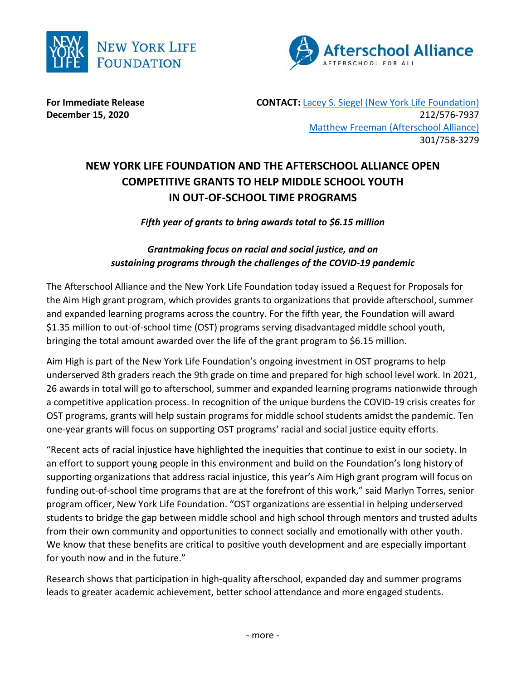



**For Immediate Release The CONTACT: [Lacey S. Siegel \(New York Life Foundation\)](mailto:lacey_s_siegel@newyorklife.com?subject=New%20York%20Life%20Fdtn/Afterschool%20Alliance) December 15, 2020** 212/576-7937 Matthew Freeman [\(Afterschool Alliance\)](mailto:lisa@prsolutionsdc.com?subject=New%20York%20Life%20Fdtn/Afterschool%20Alliance) 301/758-3279

## **NEW YORK LIFE FOUNDATION AND THE AFTERSCHOOL ALLIANCE OPEN COMPETITIVE GRANTS TO HELP MIDDLE SCHOOL YOUTH IN OUT-OF-SCHOOL TIME PROGRAMS**

*Fifth year of grants to bring awards total to \$6.15 million*

*Grantmaking focus on racial and social justice, and on sustaining programs through the challenges of the COVID-19 pandemic*

The Afterschool Alliance and the New York Life Foundation today issued a Request for Proposals for the Aim High grant program, which provides grants to organizations that provide afterschool, summer and expanded learning programs across the country. For the fifth year, the Foundation will award \$1.35 million to out-of-school time (OST) programs serving disadvantaged middle school youth, bringing the total amount awarded over the life of the grant program to \$6.15 million.

Aim High is part of the New York Life Foundation's ongoing investment in OST programs to help underserved 8th graders reach the 9th grade on time and prepared for high school level work. In 2021, 26 awards in total will go to afterschool, summer and expanded learning programs nationwide through a competitive application process. In recognition of the unique burdens the COVID-19 crisis creates for OST programs, grants will help sustain programs for middle school students amidst the pandemic. Ten one-year grants will focus on supporting OST programs' racial and social justice equity efforts.

"Recent acts of racial injustice have highlighted the inequities that continue to exist in our society. In an effort to support young people in this environment and build on the Foundation's long history of supporting organizations that address racial injustice, this year's Aim High grant program will focus on funding out-of-school time programs that are at the forefront of this work," said Marlyn Torres, senior program officer, New York Life Foundation. "OST organizations are essential in helping underserved students to bridge the gap between middle school and high school through mentors and trusted adults from their own community and opportunities to connect socially and emotionally with other youth. We know that these benefits are critical to positive youth development and are especially important for youth now and in the future."

Research shows that participation in high-quality afterschool, expanded day and summer programs leads to greater academic achievement, better school attendance and more engaged students.